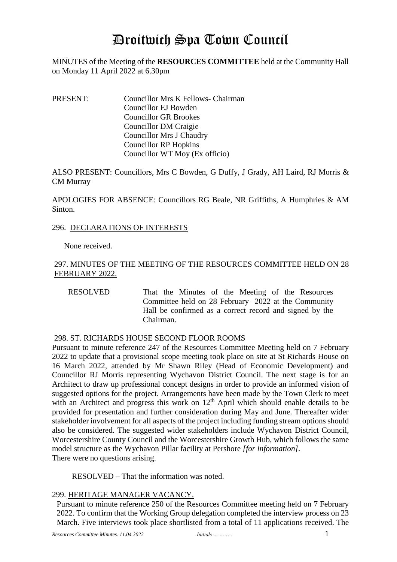# Droitwich Spa Town Council

MINUTES of the Meeting of the **RESOURCES COMMITTEE** held at the Community Hall on Monday 11 April 2022 at 6.30pm

PRESENT: Councillor Mrs K Fellows- Chairman Councillor EJ Bowden Councillor GR Brookes Councillor DM Craigie Councillor Mrs J Chaudry Councillor RP Hopkins Councillor WT Moy (Ex officio)

ALSO PRESENT: Councillors, Mrs C Bowden, G Duffy, J Grady, AH Laird, RJ Morris & CM Murray

APOLOGIES FOR ABSENCE: Councillors RG Beale, NR Griffiths, A Humphries & AM Sinton.

## 296. DECLARATIONS OF INTERESTS

None received.

## 297. MINUTES OF THE MEETING OF THE RESOURCES COMMITTEE HELD ON 28 FEBRUARY 2022.

RESOLVED That the Minutes of the Meeting of the Resources Committee held on 28 February 2022 at the Community Hall be confirmed as a correct record and signed by the Chairman.

## 298. ST. RICHARDS HOUSE SECOND FLOOR ROOMS

Pursuant to minute reference 247 of the Resources Committee Meeting held on 7 February 2022 to update that a provisional scope meeting took place on site at St Richards House on 16 March 2022, attended by Mr Shawn Riley (Head of Economic Development) and Councillor RJ Morris representing Wychavon District Council. The next stage is for an Architect to draw up professional concept designs in order to provide an informed vision of suggested options for the project. Arrangements have been made by the Town Clerk to meet with an Architect and progress this work on  $12<sup>th</sup>$  April which should enable details to be provided for presentation and further consideration during May and June. Thereafter wider stakeholder involvement for all aspects of the project including funding stream options should also be considered. The suggested wider stakeholders include Wychavon District Council, Worcestershire County Council and the Worcestershire Growth Hub, which follows the same model structure as the Wychavon Pillar facility at Pershore *[for information].* There were no questions arising.

RESOLVED – That the information was noted.

## 299. HERITAGE MANAGER VACANCY.

Pursuant to minute reference 250 of the Resources Committee meeting held on 7 February 2022. To confirm that the Working Group delegation completed the interview process on 23 March. Five interviews took place shortlisted from a total of 11 applications received. The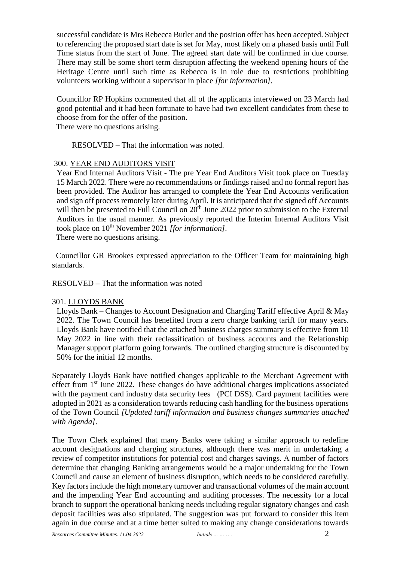successful candidate is Mrs Rebecca Butler and the position offer has been accepted. Subject to referencing the proposed start date is set for May, most likely on a phased basis until Full Time status from the start of June. The agreed start date will be confirmed in due course. There may still be some short term disruption affecting the weekend opening hours of the Heritage Centre until such time as Rebecca is in role due to restrictions prohibiting volunteers working without a supervisor in place *[for information].*

Councillor RP Hopkins commented that all of the applicants interviewed on 23 March had good potential and it had been fortunate to have had two excellent candidates from these to choose from for the offer of the position.

There were no questions arising.

RESOLVED – That the information was noted.

## 300. YEAR END AUDITORS VISIT

Year End Internal Auditors Visit - The pre Year End Auditors Visit took place on Tuesday 15 March 2022. There were no recommendations or findings raised and no formal report has been provided. The Auditor has arranged to complete the Year End Accounts verification and sign off process remotely later during April. It is anticipated that the signed off Accounts will then be presented to Full Council on  $20^{th}$  June 2022 prior to submission to the External Auditors in the usual manner. As previously reported the Interim Internal Auditors Visit took place on 10<sup>th</sup> November 2021 *[for information]*.

There were no questions arising.

 Councillor GR Brookes expressed appreciation to the Officer Team for maintaining high standards.

RESOLVED – That the information was noted

## 301. LLOYDS BANK

Lloyds Bank – Changes to Account Designation and Charging Tariff effective April & May 2022. The Town Council has benefited from a zero charge banking tariff for many years. Lloyds Bank have notified that the attached business charges summary is effective from 10 May 2022 in line with their reclassification of business accounts and the Relationship Manager support platform going forwards. The outlined charging structure is discounted by 50% for the initial 12 months.

Separately Lloyds Bank have notified changes applicable to the Merchant Agreement with effect from 1st June 2022. These changes do have additional charges implications associated with the payment card industry data security fees (PCI DSS). Card payment facilities were adopted in 2021 as a consideration towards reducing cash handling for the business operations of the Town Council *[Updated tariff information and business changes summaries attached with Agenda].*

The Town Clerk explained that many Banks were taking a similar approach to redefine account designations and charging structures, although there was merit in undertaking a review of competitor institutions for potential cost and charges savings. A number of factors determine that changing Banking arrangements would be a major undertaking for the Town Council and cause an element of business disruption, which needs to be considered carefully. Key factors include the high monetary turnover and transactional volumes of the main account and the impending Year End accounting and auditing processes. The necessity for a local branch to support the operational banking needs including regular signatory changes and cash deposit facilities was also stipulated. The suggestion was put forward to consider this item again in due course and at a time better suited to making any change considerations towards